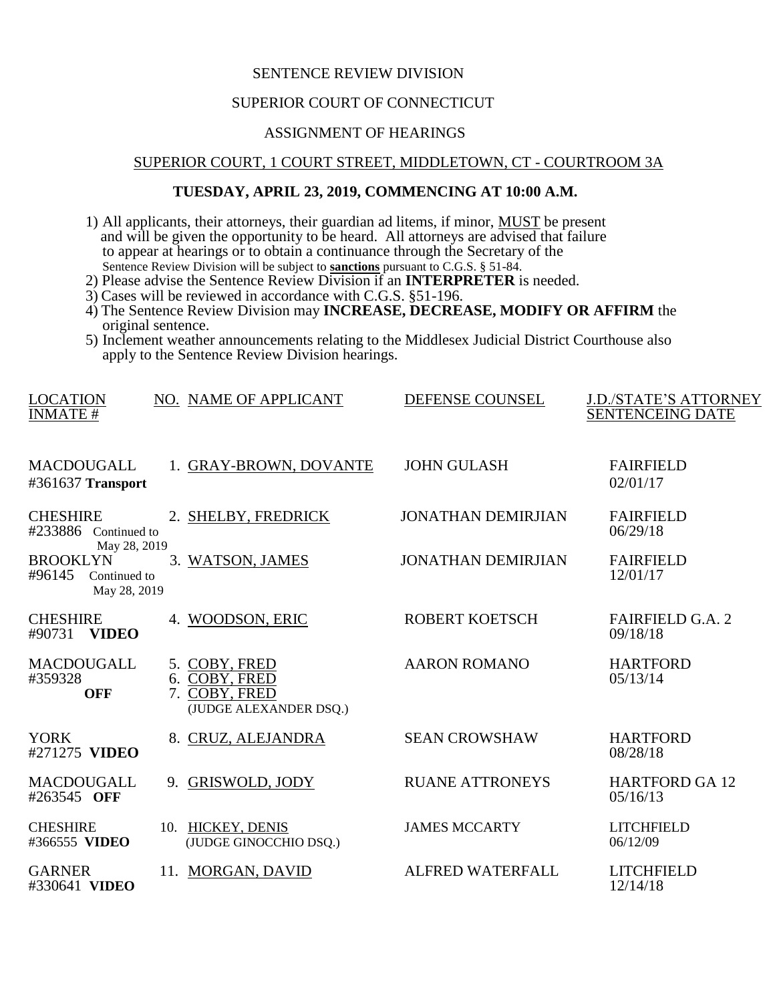## SENTENCE REVIEW DIVISION

## SUPERIOR COURT OF CONNECTICUT

# ASSIGNMENT OF HEARINGS

#### SUPERIOR COURT, 1 COURT STREET, MIDDLETOWN, CT - COURTROOM 3A

## **TUESDAY, APRIL 23, 2019, COMMENCING AT 10:00 A.M.**

- 1) All applicants, their attorneys, their guardian ad litems, if minor, MUST be present and will be given the opportunity to be heard. All attorneys are advised that failure to appear at hearings or to obtain a continuance through the Secretary of the Sentence Review Division will be subject to **sanctions** pursuant to C.G.S. § 51-84.
- 2) Please advise the Sentence Review Division if an **INTERPRETER** is needed.
- 3) Cases will be reviewed in accordance with C.G.S. §51-196.
- 4) The Sentence Review Division may **INCREASE, DECREASE, MODIFY OR AFFIRM** the original sentence.
- 5) Inclement weather announcements relating to the Middlesex Judicial District Courthouse also apply to the Sentence Review Division hearings.

| <b>LOCATION</b><br><b>INMATE#</b>                         | NO. NAME OF APPLICANT                                                     | DEFENSE COUNSEL           | <b>J.D./STATE'S ATTORNEY</b><br><b>SENTENCEING DATE</b> |
|-----------------------------------------------------------|---------------------------------------------------------------------------|---------------------------|---------------------------------------------------------|
| <b>MACDOUGALL</b><br>#361637 Transport                    | 1. GRAY-BROWN, DOVANTE                                                    | <b>JOHN GULASH</b>        | <b>FAIRFIELD</b><br>02/01/17                            |
| <b>CHESHIRE</b><br>#233886 Continued to<br>May 28, 2019   | 2. SHELBY, FREDRICK                                                       | <b>JONATHAN DEMIRJIAN</b> | <b>FAIRFIELD</b><br>06/29/18                            |
| <b>BROOKLYN</b><br>#96145<br>Continued to<br>May 28, 2019 | 3. WATSON, JAMES                                                          | <b>JONATHAN DEMIRJIAN</b> | <b>FAIRFIELD</b><br>12/01/17                            |
| <b>CHESHIRE</b><br><b>VIDEO</b><br>#90731                 | 4. WOODSON, ERIC                                                          | <b>ROBERT KOETSCH</b>     | <b>FAIRFIELD G.A. 2</b><br>09/18/18                     |
| <b>MACDOUGALL</b><br>#359328<br><b>OFF</b>                | 5. COBY, FRED<br>6. COBY, FRED<br>7. COBY, FRED<br>(JUDGE ALEXANDER DSQ.) | <b>AARON ROMANO</b>       | <b>HARTFORD</b><br>05/13/14                             |
| <b>YORK</b><br>#271275 VIDEO                              | 8. CRUZ, ALEJANDRA                                                        | <b>SEAN CROWSHAW</b>      | <b>HARTFORD</b><br>08/28/18                             |
| MACDOUGALL<br>#263545 OFF                                 | <b>GRISWOLD, JODY</b><br>9.                                               | <b>RUANE ATTRONEYS</b>    | <b>HARTFORD GA 12</b><br>05/16/13                       |
| <b>CHESHIRE</b><br>#366555 VIDEO                          | 10. HICKEY, DENIS<br>(JUDGE GINOCCHIO DSQ.)                               | <b>JAMES MCCARTY</b>      | <b>LITCHFIELD</b><br>06/12/09                           |
| <b>GARNER</b><br>#330641 VIDEO                            | 11. MORGAN, DAVID                                                         | <b>ALFRED WATERFALL</b>   | <b>LITCHFIELD</b><br>12/14/18                           |